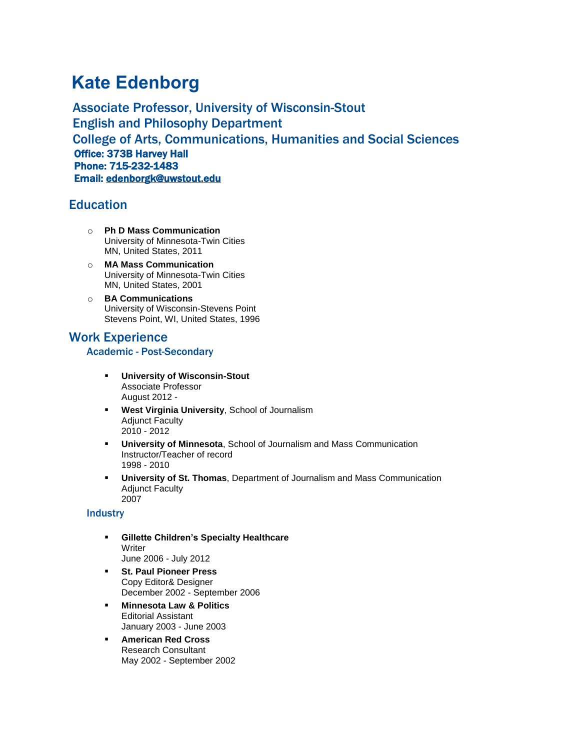# **Kate Edenborg**

Associate Professor, University of Wisconsin-Stout English and Philosophy Department College of Arts, Communications, Humanities and Social Sciences Office: 373B Harvey Hall Phone: 715-232-1483 Email: [edenborgk@uwstout.edu](mailto:edenborgk@uwstout.edu)

## **Education**

- o **Ph D Mass Communication** University of Minnesota-Twin Cities MN, United States, 2011
- o **MA Mass Communication** University of Minnesota-Twin Cities MN, United States, 2001
- o **BA Communications** University of Wisconsin-Stevens Point Stevens Point, WI, United States, 1996

# Work Experience

### Academic - Post-Secondary

- **University of Wisconsin-Stout** Associate Professor August 2012 -
- **West Virginia University**, School of Journalism Adjunct Faculty 2010 - 2012
- **University of Minnesota**, School of Journalism and Mass Communication Instructor/Teacher of record 1998 - 2010
- **University of St. Thomas**, Department of Journalism and Mass Communication Adjunct Faculty 2007

### **Industry**

- **Gillette Children's Specialty Healthcare Writer** June 2006 - July 2012
- **St. Paul Pioneer Press** Copy Editor& Designer December 2002 - September 2006
- **Minnesota Law & Politics** Editorial Assistant January 2003 - June 2003
- **American Red Cross** Research Consultant May 2002 - September 2002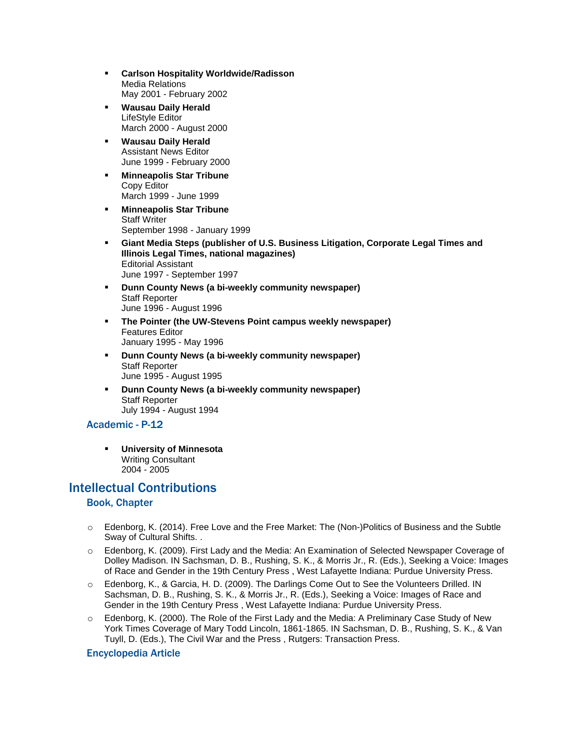- **Carlson Hospitality Worldwide/Radisson** Media Relations May 2001 - February 2002
- **Wausau Daily Herald** LifeStyle Editor March 2000 - August 2000
- **Wausau Daily Herald** Assistant News Editor June 1999 - February 2000
- **Minneapolis Star Tribune** Copy Editor March 1999 - June 1999
- **Minneapolis Star Tribune** Staff Writer September 1998 - January 1999
- **Giant Media Steps (publisher of U.S. Business Litigation, Corporate Legal Times and Illinois Legal Times, national magazines)** Editorial Assistant June 1997 - September 1997
- **Dunn County News (a bi-weekly community newspaper)** Staff Reporter June 1996 - August 1996
- **The Pointer (the UW-Stevens Point campus weekly newspaper)** Features Editor January 1995 - May 1996
- **Dunn County News (a bi-weekly community newspaper)** Staff Reporter June 1995 - August 1995
- **Dunn County News (a bi-weekly community newspaper)** Staff Reporter July 1994 - August 1994

### Academic - P-12

▪ **University of Minnesota** Writing Consultant 2004 - 2005

# Intellectual Contributions

### Book, Chapter

- o Edenborg, K. (2014). Free Love and the Free Market: The (Non-)Politics of Business and the Subtle Sway of Cultural Shifts. .
- o Edenborg, K. (2009). First Lady and the Media: An Examination of Selected Newspaper Coverage of Dolley Madison. IN Sachsman, D. B., Rushing, S. K., & Morris Jr., R. (Eds.), Seeking a Voice: Images of Race and Gender in the 19th Century Press , West Lafayette Indiana: Purdue University Press.
- o Edenborg, K., & Garcia, H. D. (2009). The Darlings Come Out to See the Volunteers Drilled. IN Sachsman, D. B., Rushing, S. K., & Morris Jr., R. (Eds.), Seeking a Voice: Images of Race and Gender in the 19th Century Press , West Lafayette Indiana: Purdue University Press.
- o Edenborg, K. (2000). The Role of the First Lady and the Media: A Preliminary Case Study of New York Times Coverage of Mary Todd Lincoln, 1861-1865. IN Sachsman, D. B., Rushing, S. K., & Van Tuyll, D. (Eds.), The Civil War and the Press , Rutgers: Transaction Press.

### Encyclopedia Article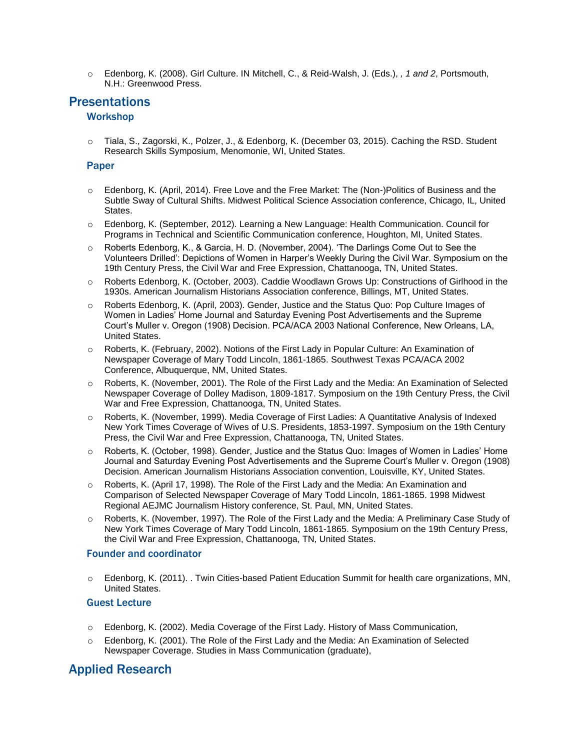o Edenborg, K. (2008). Girl Culture. IN Mitchell, C., & Reid-Walsh, J. (Eds.), *, 1 and 2*, Portsmouth, N.H.: Greenwood Press.

# **Presentations**

### **Workshop**

o Tiala, S., Zagorski, K., Polzer, J., & Edenborg, K. (December 03, 2015). Caching the RSD. Student Research Skills Symposium, Menomonie, WI, United States.

### **Paper**

- o Edenborg, K. (April, 2014). Free Love and the Free Market: The (Non-)Politics of Business and the Subtle Sway of Cultural Shifts. Midwest Political Science Association conference, Chicago, IL, United **States**
- o Edenborg, K. (September, 2012). Learning a New Language: Health Communication. Council for Programs in Technical and Scientific Communication conference, Houghton, MI, United States.
- o Roberts Edenborg, K., & Garcia, H. D. (November, 2004). 'The Darlings Come Out to See the Volunteers Drilled': Depictions of Women in Harper's Weekly During the Civil War. Symposium on the 19th Century Press, the Civil War and Free Expression, Chattanooga, TN, United States.
- o Roberts Edenborg, K. (October, 2003). Caddie Woodlawn Grows Up: Constructions of Girlhood in the 1930s. American Journalism Historians Association conference, Billings, MT, United States.
- o Roberts Edenborg, K. (April, 2003). Gender, Justice and the Status Quo: Pop Culture Images of Women in Ladies' Home Journal and Saturday Evening Post Advertisements and the Supreme Court's Muller v. Oregon (1908) Decision. PCA/ACA 2003 National Conference, New Orleans, LA, United States.
- o Roberts, K. (February, 2002). Notions of the First Lady in Popular Culture: An Examination of Newspaper Coverage of Mary Todd Lincoln, 1861-1865. Southwest Texas PCA/ACA 2002 Conference, Albuquerque, NM, United States.
- o Roberts, K. (November, 2001). The Role of the First Lady and the Media: An Examination of Selected Newspaper Coverage of Dolley Madison, 1809-1817. Symposium on the 19th Century Press, the Civil War and Free Expression, Chattanooga, TN, United States.
- Roberts, K. (November, 1999). Media Coverage of First Ladies: A Quantitative Analysis of Indexed New York Times Coverage of Wives of U.S. Presidents, 1853-1997. Symposium on the 19th Century Press, the Civil War and Free Expression, Chattanooga, TN, United States.
- o Roberts, K. (October, 1998). Gender, Justice and the Status Quo: Images of Women in Ladies' Home Journal and Saturday Evening Post Advertisements and the Supreme Court's Muller v. Oregon (1908) Decision. American Journalism Historians Association convention, Louisville, KY, United States.
- Roberts, K. (April 17, 1998). The Role of the First Lady and the Media: An Examination and Comparison of Selected Newspaper Coverage of Mary Todd Lincoln, 1861-1865. 1998 Midwest Regional AEJMC Journalism History conference, St. Paul, MN, United States.
- o Roberts, K. (November, 1997). The Role of the First Lady and the Media: A Preliminary Case Study of New York Times Coverage of Mary Todd Lincoln, 1861-1865. Symposium on the 19th Century Press, the Civil War and Free Expression, Chattanooga, TN, United States.

#### Founder and coordinator

o Edenborg, K. (2011). . Twin Cities-based Patient Education Summit for health care organizations, MN, United States.

### Guest Lecture

- $\circ$  Edenborg, K. (2002). Media Coverage of the First Lady. History of Mass Communication,
- o Edenborg, K. (2001). The Role of the First Lady and the Media: An Examination of Selected Newspaper Coverage. Studies in Mass Communication (graduate),

# Applied Research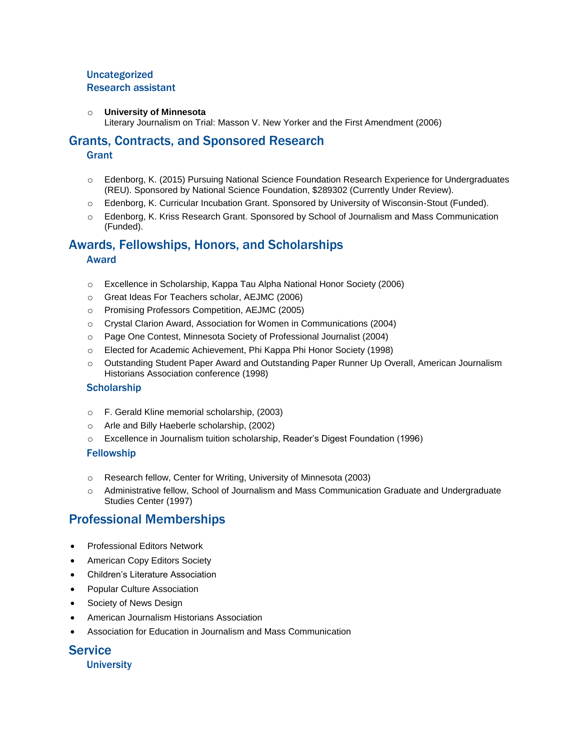### Uncategorized Research assistant

#### o **University of Minnesota**

Literary Journalism on Trial: Masson V. New Yorker and the First Amendment (2006)

### Grants, Contracts, and Sponsored Research

### **Grant**

- o Edenborg, K. (2015) Pursuing National Science Foundation Research Experience for Undergraduates (REU). Sponsored by National Science Foundation, \$289302 (Currently Under Review).
- o Edenborg, K. Curricular Incubation Grant. Sponsored by University of Wisconsin-Stout (Funded).
- o Edenborg, K. Kriss Research Grant. Sponsored by School of Journalism and Mass Communication (Funded).

### Awards, Fellowships, Honors, and Scholarships Award

- o Excellence in Scholarship, Kappa Tau Alpha National Honor Society (2006)
- o Great Ideas For Teachers scholar, AEJMC (2006)
- o Promising Professors Competition, AEJMC (2005)
- o Crystal Clarion Award, Association for Women in Communications (2004)
- o Page One Contest, Minnesota Society of Professional Journalist (2004)
- o Elected for Academic Achievement, Phi Kappa Phi Honor Society (1998)
- o Outstanding Student Paper Award and Outstanding Paper Runner Up Overall, American Journalism Historians Association conference (1998)

#### **Scholarship**

- o F. Gerald Kline memorial scholarship, (2003)
- o Arle and Billy Haeberle scholarship, (2002)
- o Excellence in Journalism tuition scholarship, Reader's Digest Foundation (1996)

#### Fellowship

- o Research fellow, Center for Writing, University of Minnesota (2003)
- o Administrative fellow, School of Journalism and Mass Communication Graduate and Undergraduate Studies Center (1997)

### Professional Memberships

- Professional Editors Network
- American Copy Editors Society
- Children's Literature Association
- Popular Culture Association
- Society of News Design
- American Journalism Historians Association
- Association for Education in Journalism and Mass Communication

**Service University**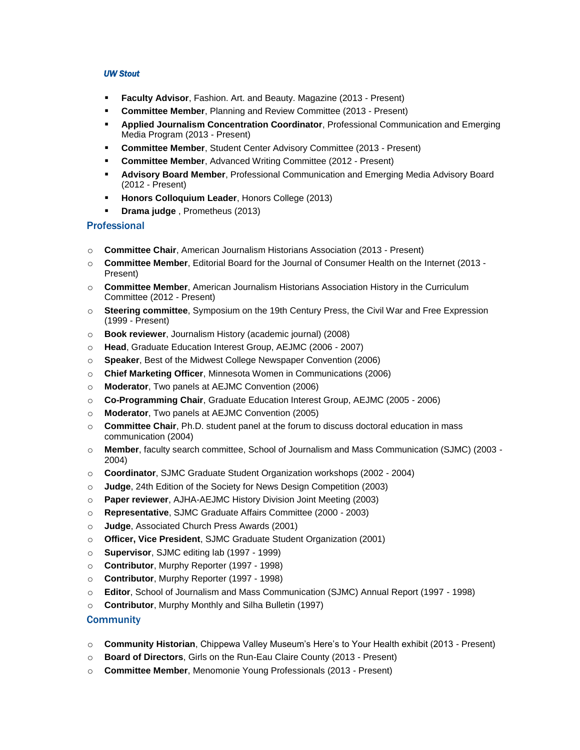#### *UW Stout*

- **Faculty Advisor, Fashion. Art. and Beauty. Magazine (2013 Present)**
- **Committee Member, Planning and Review Committee (2013 Present)**
- **Applied Journalism Concentration Coordinator**, Professional Communication and Emerging Media Program (2013 - Present)
- **Committee Member, Student Center Advisory Committee (2013 Present)**
- **Committee Member, Advanced Writing Committee (2012 Present)**
- **E** Advisory Board Member, Professional Communication and Emerging Media Advisory Board (2012 - Present)
- **Honors Colloquium Leader, Honors College (2013)**
- **Drama judge** , Prometheus (2013)

### **Professional**

- o **Committee Chair**, American Journalism Historians Association (2013 Present)
- o **Committee Member**, Editorial Board for the Journal of Consumer Health on the Internet (2013 Present)
- o **Committee Member**, American Journalism Historians Association History in the Curriculum Committee (2012 - Present)
- o **Steering committee**, Symposium on the 19th Century Press, the Civil War and Free Expression (1999 - Present)
- o **Book reviewer**, Journalism History (academic journal) (2008)
- o **Head**, Graduate Education Interest Group, AEJMC (2006 2007)
- o **Speaker**, Best of the Midwest College Newspaper Convention (2006)
- o **Chief Marketing Officer**, Minnesota Women in Communications (2006)
- o **Moderator**, Two panels at AEJMC Convention (2006)
- o **Co-Programming Chair**, Graduate Education Interest Group, AEJMC (2005 2006)
- o **Moderator**, Two panels at AEJMC Convention (2005)
- o **Committee Chair**, Ph.D. student panel at the forum to discuss doctoral education in mass communication (2004)
- o **Member**, faculty search committee, School of Journalism and Mass Communication (SJMC) (2003 2004)
- o **Coordinator**, SJMC Graduate Student Organization workshops (2002 2004)
- o **Judge**, 24th Edition of the Society for News Design Competition (2003)
- o **Paper reviewer**, AJHA-AEJMC History Division Joint Meeting (2003)
- o **Representative**, SJMC Graduate Affairs Committee (2000 2003)
- o **Judge**, Associated Church Press Awards (2001)
- o **Officer, Vice President**, SJMC Graduate Student Organization (2001)
- o **Supervisor**, SJMC editing lab (1997 1999)
- o **Contributor**, Murphy Reporter (1997 1998)
- o **Contributor**, Murphy Reporter (1997 1998)
- o **Editor**, School of Journalism and Mass Communication (SJMC) Annual Report (1997 1998)
- o **Contributor**, Murphy Monthly and Silha Bulletin (1997)

### **Community**

- o **Community Historian**, Chippewa Valley Museum's Here's to Your Health exhibit (2013 Present)
- o **Board of Directors**, Girls on the Run-Eau Claire County (2013 Present)
- o **Committee Member**, Menomonie Young Professionals (2013 Present)